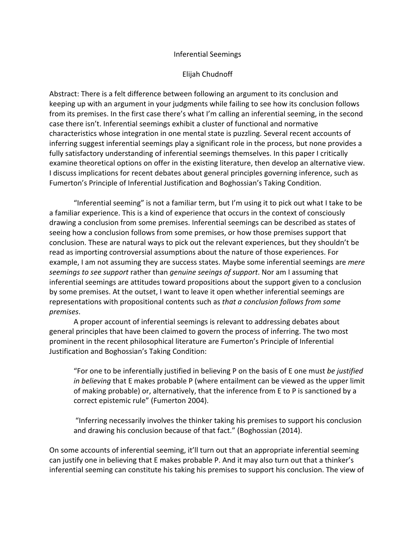### Inferential Seemings

## Elijah Chudnoff

Abstract: There is a felt difference between following an argument to its conclusion and keeping up with an argument in your judgments while failing to see how its conclusion follows from its premises. In the first case there's what I'm calling an inferential seeming, in the second case there isn't. Inferential seemings exhibit a cluster of functional and normative characteristics whose integration in one mental state is puzzling. Several recent accounts of inferring suggest inferential seemings play a significant role in the process, but none provides a fully satisfactory understanding of inferential seemings themselves. In this paper I critically examine theoretical options on offer in the existing literature, then develop an alternative view. I discuss implications for recent debates about general principles governing inference, such as Fumerton's Principle of Inferential Justification and Boghossian's Taking Condition.

"Inferential seeming" is not a familiar term, but I'm using it to pick out what I take to be a familiar experience. This is a kind of experience that occurs in the context of consciously drawing a conclusion from some premises. Inferential seemings can be described as states of seeing how a conclusion follows from some premises, or how those premises support that conclusion. These are natural ways to pick out the relevant experiences, but they shouldn't be read as importing controversial assumptions about the nature of those experiences. For example, I am not assuming they are success states. Maybe some inferential seemings are *mere seemings to see support* rather than *genuine seeings of support*. Nor am I assuming that inferential seemings are attitudes toward propositions about the support given to a conclusion by some premises. At the outset, I want to leave it open whether inferential seemings are representations with propositional contents such as *that a conclusion follows from some premises*.

A proper account of inferential seemings is relevant to addressing debates about general principles that have been claimed to govern the process of inferring. The two most prominent in the recent philosophical literature are Fumerton's Principle of Inferential Justification and Boghossian's Taking Condition:

"For one to be inferentially justified in believing P on the basis of E one must *be justified in believing* that E makes probable P (where entailment can be viewed as the upper limit of making probable) or, alternatively, that the inference from E to P is sanctioned by a correct epistemic rule" (Fumerton 2004).

"Inferring necessarily involves the thinker taking his premises to support his conclusion and drawing his conclusion because of that fact." (Boghossian (2014).

On some accounts of inferential seeming, it'll turn out that an appropriate inferential seeming can justify one in believing that E makes probable P. And it may also turn out that a thinker's inferential seeming can constitute his taking his premises to support his conclusion. The view of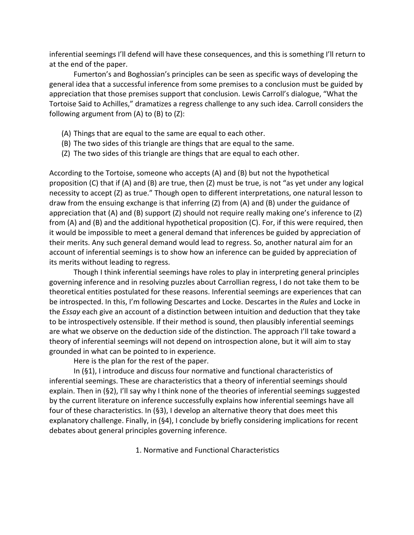inferential seemings I'll defend will have these consequences, and this is something I'll return to at the end of the paper.

Fumerton's and Boghossian's principles can be seen as specific ways of developing the general idea that a successful inference from some premises to a conclusion must be guided by appreciation that those premises support that conclusion. Lewis Carroll's dialogue, "What the Tortoise Said to Achilles," dramatizes a regress challenge to any such idea. Carroll considers the following argument from (A) to (B) to (Z):

- (A) Things that are equal to the same are equal to each other.
- (B) The two sides of this triangle are things that are equal to the same.
- (Z) The two sides of this triangle are things that are equal to each other.

According to the Tortoise, someone who accepts (A) and (B) but not the hypothetical proposition (C) that if (A) and (B) are true, then (Z) must be true, is not "as yet under any logical necessity to accept (Z) as true." Though open to different interpretations, one natural lesson to draw from the ensuing exchange is that inferring (Z) from (A) and (B) under the guidance of appreciation that (A) and (B) support (Z) should not require really making one's inference to (Z) from (A) and (B) and the additional hypothetical proposition (C). For, if this were required, then it would be impossible to meet a general demand that inferences be guided by appreciation of their merits. Any such general demand would lead to regress. So, another natural aim for an account of inferential seemings is to show how an inference can be guided by appreciation of its merits without leading to regress.

Though I think inferential seemings have roles to play in interpreting general principles governing inference and in resolving puzzles about Carrollian regress, I do not take them to be theoretical entities postulated for these reasons. Inferential seemings are experiences that can be introspected. In this, I'm following Descartes and Locke. Descartes in the *Rules* and Locke in the *Essay* each give an account of a distinction between intuition and deduction that they take to be introspectively ostensible. If their method is sound, then plausibly inferential seemings are what we observe on the deduction side of the distinction. The approach I'll take toward a theory of inferential seemings will not depend on introspection alone, but it will aim to stay grounded in what can be pointed to in experience.

Here is the plan for the rest of the paper.

In (§1), I introduce and discuss four normative and functional characteristics of inferential seemings. These are characteristics that a theory of inferential seemings should explain. Then in (§2), I'll say why I think none of the theories of inferential seemings suggested by the current literature on inference successfully explains how inferential seemings have all four of these characteristics. In (§3), I develop an alternative theory that does meet this explanatory challenge. Finally, in (§4), I conclude by briefly considering implications for recent debates about general principles governing inference.

1. Normative and Functional Characteristics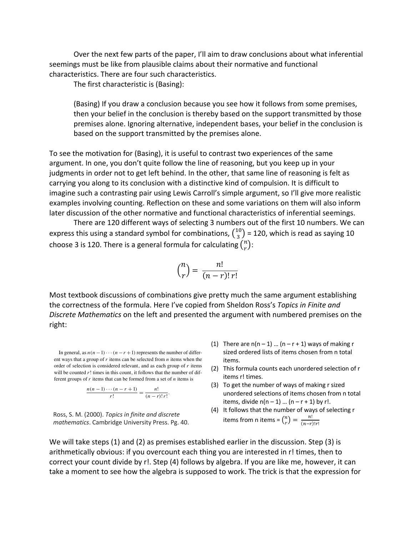Over the next few parts of the paper, I'll aim to draw conclusions about what inferential seemings must be like from plausible claims about their normative and functional characteristics. There are four such characteristics.

The first characteristic is (Basing):

(Basing) If you draw a conclusion because you see how it follows from some premises, then your belief in the conclusion is thereby based on the support transmitted by those premises alone. Ignoring alternative, independent bases, your belief in the conclusion is based on the support transmitted by the premises alone.

To see the motivation for (Basing), it is useful to contrast two experiences of the same argument. In one, you don't quite follow the line of reasoning, but you keep up in your judgments in order not to get left behind. In the other, that same line of reasoning is felt as carrying you along to its conclusion with a distinctive kind of compulsion. It is difficult to imagine such a contrasting pair using Lewis Carroll's simple argument, so I'll give more realistic examples involving counting. Reflection on these and some variations on them will also inform later discussion of the other normative and functional characteristics of inferential seemings.

There are 120 different ways of selecting 3 numbers out of the first 10 numbers. We can express this using a standard symbol for combinations,  ${10 \choose 3}$  = 120, which is read as saying 10 choose 3 is 120. There is a general formula for calculating  $\binom{n}{r}$ : *Fire are 120 different ways of selection*<br>× *x press this using a standard symbol for comb* 

$$
\binom{n}{r} = \frac{n!}{(n-r)! \, r!}
$$

Most textbook discussions of combinations give pretty much the same argument establishing the correctness of the formula. Here I've copied from Sheldon Ross's Topics in Finite and Discrete Mathematics on the left and presented the argument with numbered premises on the right: 3! times (since each of the orderings ABC, ACB, BAC, BCA, CAB,  $\mathsf{gnt:}\quad$ 

In general, as  $n(n-1)\cdots(n-r+1)$  represents the number of different ways that a group of *r* items can be selected from *n* items when the order of selection is considered relevant, and as each group of *r* items will be counted  $r!$  times in this count, it follows that the number of different groups of *r* items that can be formed from a set of *n* items is In general, as  $n(n)$ <br>
ent ways that a grou<br>
order of selection is<br>
will be counted r! ti<br>
ferent groups of r it<br>  $\frac{n(n)}{2}$ <br>
Ross, S. M. (2000)<br> *mathematics*. C<br>
We will take s<br>
arithmetically<br>
correct your c

$$
\frac{n(n-1)\cdots(n-r+1)}{r!}=\frac{n!}{(n-r)!r!}.
$$

Ross, S. M. (2000). *Topics in finite and discrete mathematics*. Cambridge University Press. Pg. 40. #*n r* **lge Universit** 

- (1) There are  $n(n-1)$  ...  $(n-r+1)$  ways of making r sized ordered lists of items chosen from n total items.
- (2) This formula counts each unordered selection of r items r! times.
- (3) To get the number of ways of making r sized unordered selections of items chosen from n total items, divide  $n(n-1)$  ...  $(n-r+1)$  by r!.
- (4) It follows that the number of ways of selecting r items from n items =  $\binom{n}{r} = \frac{n!}{(n-r)!r!}$

We will take steps (1) and (2) as premises established earlier in the discussion. Step (3) is arithmetically obvious: if you overcount each thing you are interested in r! times, then to correct your count divide by r!. Step (4) follows by algebra. If you are like me, however, it can take a moment to see how the algebra is supposed to work. The trick is that the expression for Ross, Sheldon M.. Topics in Finite and Discrete Mathematics, Cambridge University Press, 2000. ProQuest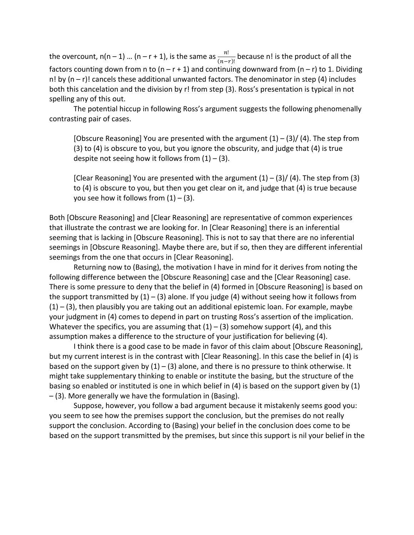the overcount, n(n – 1) ... (n – r + 1), is the same as  $\frac{n!}{(n-r)!}$  because n! is the product of all the factors counting down from n to  $(n - r + 1)$  and continuing downward from  $(n - r)$  to 1. Dividing n! by  $(n - r)$ ! cancels these additional unwanted factors. The denominator in step (4) includes both this cancelation and the division by r! from step (3). Ross's presentation is typical in not spelling any of this out.

The potential hiccup in following Ross's argument suggests the following phenomenally contrasting pair of cases.

[Obscure Reasoning] You are presented with the argument  $(1) - (3) / (4)$ . The step from (3) to (4) is obscure to you, but you ignore the obscurity, and judge that (4) is true despite not seeing how it follows from  $(1) - (3)$ .

[Clear Reasoning] You are presented with the argument  $(1) - (3) / (4)$ . The step from  $(3)$ to (4) is obscure to you, but then you get clear on it, and judge that (4) is true because you see how it follows from  $(1) - (3)$ .

Both [Obscure Reasoning] and [Clear Reasoning] are representative of common experiences that illustrate the contrast we are looking for. In [Clear Reasoning] there is an inferential seeming that is lacking in [Obscure Reasoning]. This is not to say that there are no inferential seemings in [Obscure Reasoning]. Maybe there are, but if so, then they are different inferential seemings from the one that occurs in [Clear Reasoning].

Returning now to (Basing), the motivation I have in mind for it derives from noting the following difference between the [Obscure Reasoning] case and the [Clear Reasoning] case. There is some pressure to deny that the belief in (4) formed in [Obscure Reasoning] is based on the support transmitted by  $(1) - (3)$  alone. If you judge (4) without seeing how it follows from  $(1) - (3)$ , then plausibly you are taking out an additional epistemic loan. For example, maybe your judgment in (4) comes to depend in part on trusting Ross's assertion of the implication. Whatever the specifics, you are assuming that  $(1) - (3)$  somehow support  $(4)$ , and this assumption makes a difference to the structure of your justification for believing (4).

I think there is a good case to be made in favor of this claim about [Obscure Reasoning], but my current interest is in the contrast with [Clear Reasoning]. In this case the belief in (4) is based on the support given by  $(1) - (3)$  alone, and there is no pressure to think otherwise. It might take supplementary thinking to enable or institute the basing, but the structure of the basing so enabled or instituted is one in which belief in (4) is based on the support given by (1) – (3). More generally we have the formulation in (Basing).

Suppose, however, you follow a bad argument because it mistakenly seems good you: you seem to see how the premises support the conclusion, but the premises do not really support the conclusion. According to (Basing) your belief in the conclusion does come to be based on the support transmitted by the premises, but since this support is nil your belief in the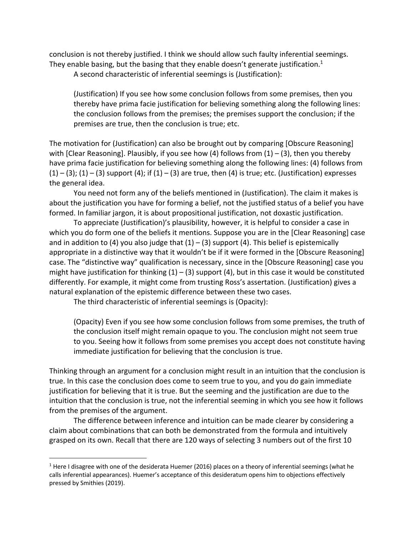conclusion is not thereby justified. I think we should allow such faulty inferential seemings. They enable basing, but the basing that they enable doesn't generate justification.<sup>1</sup>

A second characteristic of inferential seemings is (Justification):

(Justification) If you see how some conclusion follows from some premises, then you thereby have prima facie justification for believing something along the following lines: the conclusion follows from the premises; the premises support the conclusion; if the premises are true, then the conclusion is true; etc.

The motivation for (Justification) can also be brought out by comparing [Obscure Reasoning] with [Clear Reasoning]. Plausibly, if you see how (4) follows from  $(1) - (3)$ , then you thereby have prima facie justification for believing something along the following lines: (4) follows from  $(1) - (3)$ ;  $(1) - (3)$  support  $(4)$ ; if  $(1) - (3)$  are true, then  $(4)$  is true; etc. (Justification) expresses the general idea.

You need not form any of the beliefs mentioned in (Justification). The claim it makes is about the justification you have for forming a belief, not the justified status of a belief you have formed. In familiar jargon, it is about propositional justification, not doxastic justification.

To appreciate (Justification)'s plausibility, however, it is helpful to consider a case in which you do form one of the beliefs it mentions. Suppose you are in the [Clear Reasoning] case and in addition to (4) you also judge that  $(1) - (3)$  support (4). This belief is epistemically appropriate in a distinctive way that it wouldn't be if it were formed in the [Obscure Reasoning] case. The "distinctive way" qualification is necessary, since in the [Obscure Reasoning] case you might have justification for thinking  $(1) - (3)$  support  $(4)$ , but in this case it would be constituted differently. For example, it might come from trusting Ross's assertation. (Justification) gives a natural explanation of the epistemic difference between these two cases.

The third characteristic of inferential seemings is (Opacity):

(Opacity) Even if you see how some conclusion follows from some premises, the truth of the conclusion itself might remain opaque to you. The conclusion might not seem true to you. Seeing how it follows from some premises you accept does not constitute having immediate justification for believing that the conclusion is true.

Thinking through an argument for a conclusion might result in an intuition that the conclusion is true. In this case the conclusion does come to seem true to you, and you do gain immediate justification for believing that it is true. But the seeming and the justification are due to the intuition that the conclusion is true, not the inferential seeming in which you see how it follows from the premises of the argument.

The difference between inference and intuition can be made clearer by considering a claim about combinations that can both be demonstrated from the formula and intuitively grasped on its own. Recall that there are 120 ways of selecting 3 numbers out of the first 10

<sup>&</sup>lt;sup>1</sup> Here I disagree with one of the desiderata Huemer (2016) places on a theory of inferential seemings (what he calls inferential appearances). Huemer's acceptance of this desideratum opens him to objections effectively pressed by Smithies (2019).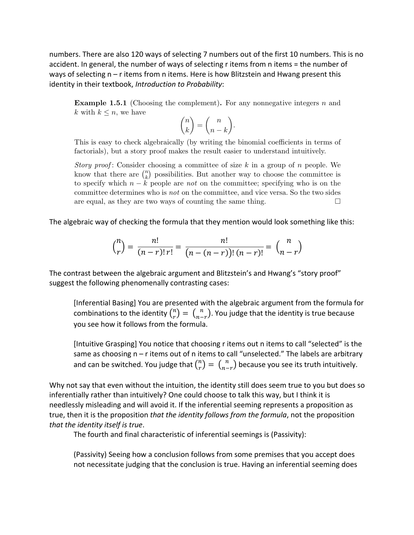numbers. There are also 120 ways of selecting 7 numbers out of the first 10 numbers. This is no accident. In general, the number of ways of selecting r items from n items = the number of ways of selecting n – r items from n items. Here is how Blitzstein and Hwang present this identity in their textbook, *Introduction to Probability*:  $\ldots$  measured as further examples of continuous of continuous of counting.

Example 1.5.1 (Choosing the complement). For any nonnegative integers *n* and *k* with  $k \leq n$ , we have

$$
\binom{n}{k}=\binom{n}{n-k}.
$$

This is easy to check algebraically (by writing the binomial coefficients in terms of factorials), but a story proof makes the result easier to understand intuitively.

*Story proof* : Consider choosing a committee of size *k* in a group of *n* people. We know that there are  $\binom{n}{k}$  possibilities. But another way to choose the committee is to specify which  $n - k$  people are *not* on the committee; specifying who is on the committee determines who is *not* on the committee, and vice versa. So the two sides are equal, as they are two ways of counting the same thing.  $\Box$ 

The algebraic way of checking the formula that they mention would look something like this:

$$
\binom{n}{r} = \frac{n!}{(n-r)! \, r!} = \frac{n!}{(n - (n-r))! \, (n-r)!} = \binom{n}{n-r}
$$

The contrast between the algebraic argument and Blitzstein's and Hwang's "story proof" (and chosen, chosen, chosen, chosen, chosen, chosen, chosen, chosen, chosen, chosen, chosen, chosen, chosen, chosen, chosen, chosen, ch suggest the following phenomenally contrasting cases:

[Inferential Basing] You are presented with the algebraic argument from the formula for combinations to the identity  $\binom{n}{r} = \binom{n}{n-r}$ . You judge that the identity is true because you see how it follows from the formula. the left-hand side. Equivalent tegether we conclude the result of  $\epsilon$  interesting  $\epsilon$  for  $\epsilon$ 

[Intuitive Grasping] You notice that choosing r items out n items to call "selected" is the same as choosing n – r items out of n items to call "unselected." The labels are arbitrary same as choosing n – r items out of h items to call unselected. The labels are arbitrar<br>and can be switched. You judge that  $\binom{n}{r} = \binom{n}{n-r}$  because you see its truth intuitively.  $j_p^{(n)} = \binom{n}{n-r}$  becau

Why not say that even without the intuition, the identity still does seem true to you but does so inferentially rather than intuitively? One could choose to talk this way, but I think it is mislemism, result and mislimizatively conceptibilities the cost to take the resp, seeming the makes it concept<br>needlessly misleading and will avoid it. If the inferential seeming represents a proposition as true, then it is the proposition *that the identity follows from the formula*, not the proposition *that the identity itself is true*.

The fourth and final characteristic of inferential seemings is (Passivity):

(Passivity) Seeing how a conclusion follows from some premises that you accept does not necessitate judging that the conclusion is true. Having an inferential seeming does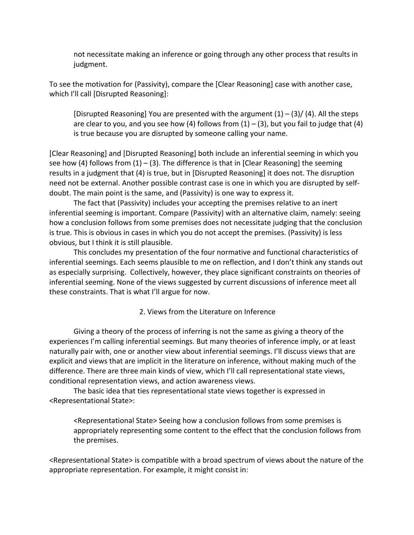not necessitate making an inference or going through any other process that results in judgment.

To see the motivation for (Passivity), compare the [Clear Reasoning] case with another case, which I'll call [Disrupted Reasoning]:

[Disrupted Reasoning] You are presented with the argument  $(1) - (3) / (4)$ . All the steps are clear to you, and you see how (4) follows from  $(1) - (3)$ , but you fail to judge that (4) is true because you are disrupted by someone calling your name.

[Clear Reasoning] and [Disrupted Reasoning] both include an inferential seeming in which you see how (4) follows from  $(1) - (3)$ . The difference is that in [Clear Reasoning] the seeming results in a judgment that (4) is true, but in [Disrupted Reasoning] it does not. The disruption need not be external. Another possible contrast case is one in which you are disrupted by selfdoubt. The main point is the same, and (Passivity) is one way to express it.

The fact that (Passivity) includes your accepting the premises relative to an inert inferential seeming is important. Compare (Passivity) with an alternative claim, namely: seeing how a conclusion follows from some premises does not necessitate judging that the conclusion is true. This is obvious in cases in which you do not accept the premises. (Passivity) is less obvious, but I think it is still plausible.

This concludes my presentation of the four normative and functional characteristics of inferential seemings. Each seems plausible to me on reflection, and I don't think any stands out as especially surprising. Collectively, however, they place significant constraints on theories of inferential seeming. None of the views suggested by current discussions of inference meet all these constraints. That is what I'll argue for now.

2. Views from the Literature on Inference

Giving a theory of the process of inferring is not the same as giving a theory of the experiences I'm calling inferential seemings. But many theories of inference imply, or at least naturally pair with, one or another view about inferential seemings. I'll discuss views that are explicit and views that are implicit in the literature on inference, without making much of the difference. There are three main kinds of view, which I'll call representational state views, conditional representation views, and action awareness views.

The basic idea that ties representational state views together is expressed in <Representational State>:

<Representational State> Seeing how a conclusion follows from some premises is appropriately representing some content to the effect that the conclusion follows from the premises.

<Representational State> is compatible with a broad spectrum of views about the nature of the appropriate representation. For example, it might consist in: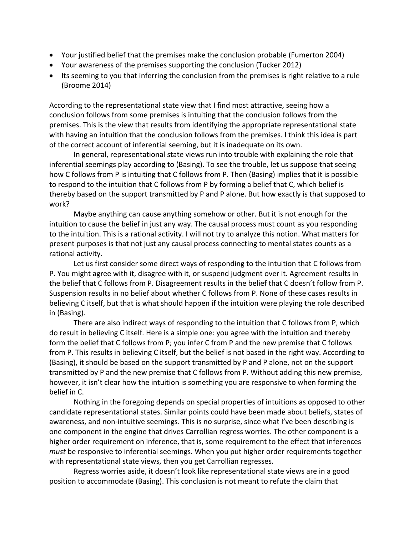- Your justified belief that the premises make the conclusion probable (Fumerton 2004)
- Your awareness of the premises supporting the conclusion (Tucker 2012)
- Its seeming to you that inferring the conclusion from the premises is right relative to a rule (Broome 2014)

According to the representational state view that I find most attractive, seeing how a conclusion follows from some premises is intuiting that the conclusion follows from the premises. This is the view that results from identifying the appropriate representational state with having an intuition that the conclusion follows from the premises. I think this idea is part of the correct account of inferential seeming, but it is inadequate on its own.

In general, representational state views run into trouble with explaining the role that inferential seemings play according to (Basing). To see the trouble, let us suppose that seeing how C follows from P is intuiting that C follows from P. Then (Basing) implies that it is possible to respond to the intuition that C follows from P by forming a belief that C, which belief is thereby based on the support transmitted by P and P alone. But how exactly is that supposed to work?

Maybe anything can cause anything somehow or other. But it is not enough for the intuition to cause the belief in just any way. The causal process must count as you responding to the intuition. This is a rational activity. I will not try to analyze this notion. What matters for present purposes is that not just any causal process connecting to mental states counts as a rational activity.

Let us first consider some direct ways of responding to the intuition that C follows from P. You might agree with it, disagree with it, or suspend judgment over it. Agreement results in the belief that C follows from P. Disagreement results in the belief that C doesn't follow from P. Suspension results in no belief about whether C follows from P. None of these cases results in believing C itself, but that is what should happen if the intuition were playing the role described in (Basing).

There are also indirect ways of responding to the intuition that C follows from P, which do result in believing C itself. Here is a simple one: you agree with the intuition and thereby form the belief that C follows from P; you infer C from P and the new premise that C follows from P. This results in believing C itself, but the belief is not based in the right way. According to (Basing), it should be based on the support transmitted by P and P alone, not on the support transmitted by P and the new premise that C follows from P. Without adding this new premise, however, it isn't clear how the intuition is something you are responsive to when forming the belief in C.

Nothing in the foregoing depends on special properties of intuitions as opposed to other candidate representational states. Similar points could have been made about beliefs, states of awareness, and non-intuitive seemings. This is no surprise, since what I've been describing is one component in the engine that drives Carrollian regress worries. The other component is a higher order requirement on inference, that is, some requirement to the effect that inferences *must* be responsive to inferential seemings. When you put higher order requirements together with representational state views, then you get Carrollian regresses.

Regress worries aside, it doesn't look like representational state views are in a good position to accommodate (Basing). This conclusion is not meant to refute the claim that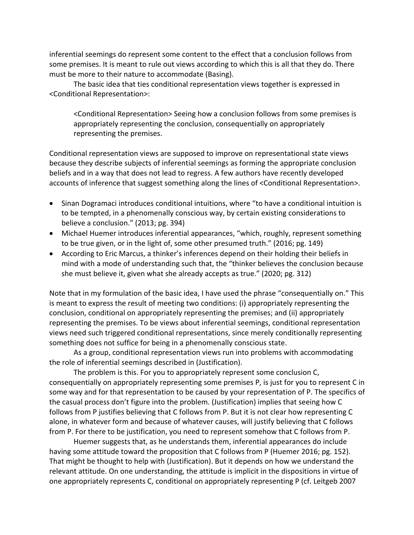inferential seemings do represent some content to the effect that a conclusion follows from some premises. It is meant to rule out views according to which this is all that they do. There must be more to their nature to accommodate (Basing).

The basic idea that ties conditional representation views together is expressed in <Conditional Representation>:

<Conditional Representation> Seeing how a conclusion follows from some premises is appropriately representing the conclusion, consequentially on appropriately representing the premises.

Conditional representation views are supposed to improve on representational state views because they describe subjects of inferential seemings as forming the appropriate conclusion beliefs and in a way that does not lead to regress. A few authors have recently developed accounts of inference that suggest something along the lines of <Conditional Representation>.

- Sinan Dogramaci introduces conditional intuitions, where "to have a conditional intuition is to be tempted, in a phenomenally conscious way, by certain existing considerations to believe a conclusion." (2013; pg. 394)
- Michael Huemer introduces inferential appearances, "which, roughly, represent something to be true given, or in the light of, some other presumed truth." (2016; pg. 149)
- According to Eric Marcus, a thinker's inferences depend on their holding their beliefs in mind with a mode of understanding such that, the "thinker believes the conclusion because she must believe it, given what she already accepts as true." (2020; pg. 312)

Note that in my formulation of the basic idea, I have used the phrase "consequentially on." This is meant to express the result of meeting two conditions: (i) appropriately representing the conclusion, conditional on appropriately representing the premises; and (ii) appropriately representing the premises. To be views about inferential seemings, conditional representation views need such triggered conditional representations, since merely conditionally representing something does not suffice for being in a phenomenally conscious state.

As a group, conditional representation views run into problems with accommodating the role of inferential seemings described in (Justification).

The problem is this. For you to appropriately represent some conclusion C, consequentially on appropriately representing some premises P, is just for you to represent C in some way and for that representation to be caused by your representation of P. The specifics of the casual process don't figure into the problem. (Justification) implies that seeing how C follows from P justifies believing that C follows from P. But it is not clear how representing C alone, in whatever form and because of whatever causes, will justify believing that C follows from P. For there to be justification, you need to represent somehow that C follows from P.

Huemer suggests that, as he understands them, inferential appearances do include having some attitude toward the proposition that C follows from P (Huemer 2016; pg. 152). That might be thought to help with (Justification). But it depends on how we understand the relevant attitude. On one understanding, the attitude is implicit in the dispositions in virtue of one appropriately represents C, conditional on appropriately representing P (cf. Leitgeb 2007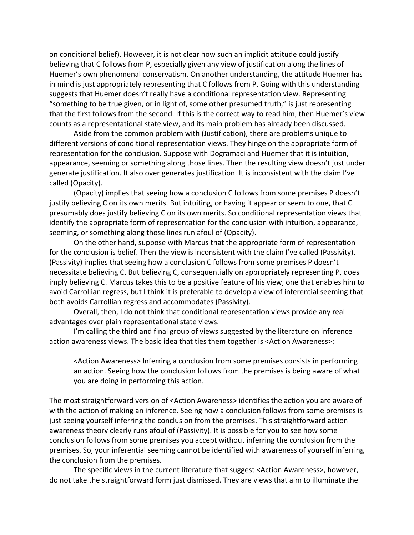on conditional belief). However, it is not clear how such an implicit attitude could justify believing that C follows from P, especially given any view of justification along the lines of Huemer's own phenomenal conservatism. On another understanding, the attitude Huemer has in mind is just appropriately representing that C follows from P. Going with this understanding suggests that Huemer doesn't really have a conditional representation view. Representing "something to be true given, or in light of, some other presumed truth," is just representing that the first follows from the second. If this is the correct way to read him, then Huemer's view counts as a representational state view, and its main problem has already been discussed.

Aside from the common problem with (Justification), there are problems unique to different versions of conditional representation views. They hinge on the appropriate form of representation for the conclusion. Suppose with Dogramaci and Huemer that it is intuition, appearance, seeming or something along those lines. Then the resulting view doesn't just under generate justification. It also over generates justification. It is inconsistent with the claim I've called (Opacity).

(Opacity) implies that seeing how a conclusion C follows from some premises P doesn't justify believing C on its own merits. But intuiting, or having it appear or seem to one, that C presumably does justify believing C on its own merits. So conditional representation views that identify the appropriate form of representation for the conclusion with intuition, appearance, seeming, or something along those lines run afoul of (Opacity).

On the other hand, suppose with Marcus that the appropriate form of representation for the conclusion is belief. Then the view is inconsistent with the claim I've called (Passivity). (Passivity) implies that seeing how a conclusion C follows from some premises P doesn't necessitate believing C. But believing C, consequentially on appropriately representing P, does imply believing C. Marcus takes this to be a positive feature of his view, one that enables him to avoid Carrollian regress, but I think it is preferable to develop a view of inferential seeming that both avoids Carrollian regress and accommodates (Passivity).

Overall, then, I do not think that conditional representation views provide any real advantages over plain representational state views.

I'm calling the third and final group of views suggested by the literature on inference action awareness views. The basic idea that ties them together is <Action Awareness>:

<Action Awareness> Inferring a conclusion from some premises consists in performing an action. Seeing how the conclusion follows from the premises is being aware of what you are doing in performing this action.

The most straightforward version of <Action Awareness> identifies the action you are aware of with the action of making an inference. Seeing how a conclusion follows from some premises is just seeing yourself inferring the conclusion from the premises. This straightforward action awareness theory clearly runs afoul of (Passivity). It is possible for you to see how some conclusion follows from some premises you accept without inferring the conclusion from the premises. So, your inferential seeming cannot be identified with awareness of yourself inferring the conclusion from the premises.

The specific views in the current literature that suggest <Action Awareness>, however, do not take the straightforward form just dismissed. They are views that aim to illuminate the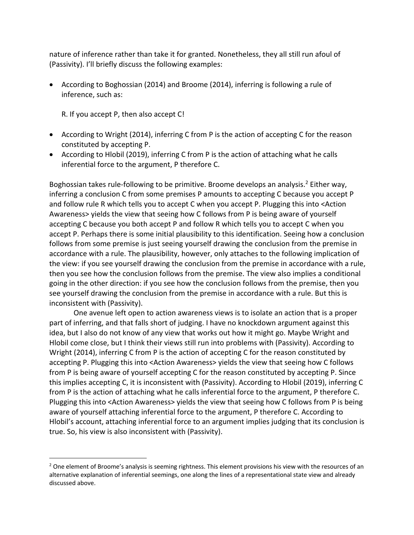nature of inference rather than take it for granted. Nonetheless, they all still run afoul of (Passivity). I'll briefly discuss the following examples:

• According to Boghossian (2014) and Broome (2014), inferring is following a rule of inference, such as:

R. If you accept P, then also accept C!

- According to Wright (2014), inferring C from P is the action of accepting C for the reason constituted by accepting P.
- According to Hlobil (2019), inferring C from P is the action of attaching what he calls inferential force to the argument, P therefore C.

Boghossian takes rule-following to be primitive. Broome develops an analysis.<sup>2</sup> Either way, inferring a conclusion C from some premises P amounts to accepting C because you accept P and follow rule R which tells you to accept C when you accept P. Plugging this into <Action Awareness> yields the view that seeing how C follows from P is being aware of yourself accepting C because you both accept P and follow R which tells you to accept C when you accept P. Perhaps there is some initial plausibility to this identification. Seeing how a conclusion follows from some premise is just seeing yourself drawing the conclusion from the premise in accordance with a rule. The plausibility, however, only attaches to the following implication of the view: if you see yourself drawing the conclusion from the premise in accordance with a rule, then you see how the conclusion follows from the premise. The view also implies a conditional going in the other direction: if you see how the conclusion follows from the premise, then you see yourself drawing the conclusion from the premise in accordance with a rule. But this is inconsistent with (Passivity).

One avenue left open to action awareness views is to isolate an action that is a proper part of inferring, and that falls short of judging. I have no knockdown argument against this idea, but I also do not know of any view that works out how it might go. Maybe Wright and Hlobil come close, but I think their views still run into problems with (Passivity). According to Wright (2014), inferring C from P is the action of accepting C for the reason constituted by accepting P. Plugging this into <Action Awareness> yields the view that seeing how C follows from P is being aware of yourself accepting C for the reason constituted by accepting P. Since this implies accepting C, it is inconsistent with (Passivity). According to Hlobil (2019), inferring C from P is the action of attaching what he calls inferential force to the argument, P therefore C. Plugging this into <Action Awareness> yields the view that seeing how C follows from P is being aware of yourself attaching inferential force to the argument, P therefore C. According to Hlobil's account, attaching inferential force to an argument implies judging that its conclusion is true. So, his view is also inconsistent with (Passivity).

<sup>&</sup>lt;sup>2</sup> One element of Broome's analysis is seeming rightness. This element provisions his view with the resources of an alternative explanation of inferential seemings, one along the lines of a representational state view and already discussed above.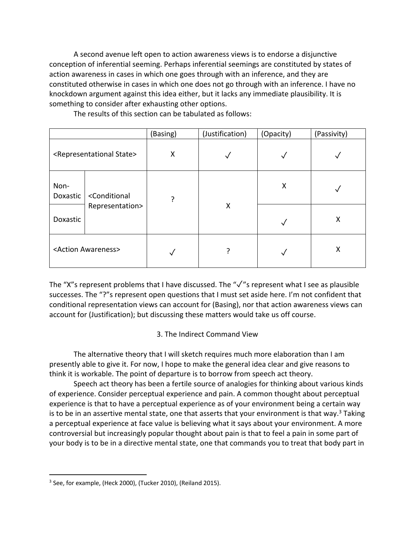A second avenue left open to action awareness views is to endorse a disjunctive conception of inferential seeming. Perhaps inferential seemings are constituted by states of action awareness in cases in which one goes through with an inference, and they are constituted otherwise in cases in which one does not go through with an inference. I have no knockdown argument against this idea either, but it lacks any immediate plausibility. It is something to consider after exhausting other options.

|                                                |                                                     | (Basing) | (Justification) | (Opacity) | (Passivity) |
|------------------------------------------------|-----------------------------------------------------|----------|-----------------|-----------|-------------|
| <representational state=""></representational> |                                                     | X        |                 | ✓         |             |
| Non-<br>Doxastic                               | <conditional<br>Representation&gt;</conditional<br> | 7        | X               | X         |             |
| Doxastic                                       |                                                     |          |                 |           | X           |
| <action awareness=""></action>                 |                                                     |          |                 |           | Χ           |

The results of this section can be tabulated as follows:

The "X"s represent problems that I have discussed. The "✓"s represent what I see as plausible successes. The "?"s represent open questions that I must set aside here. I'm not confident that conditional representation views can account for (Basing), nor that action awareness views can account for (Justification); but discussing these matters would take us off course.

# 3. The Indirect Command View

The alternative theory that I will sketch requires much more elaboration than I am presently able to give it. For now, I hope to make the general idea clear and give reasons to think it is workable. The point of departure is to borrow from speech act theory.

Speech act theory has been a fertile source of analogies for thinking about various kinds of experience. Consider perceptual experience and pain. A common thought about perceptual experience is that to have a perceptual experience as of your environment being a certain way is to be in an assertive mental state, one that asserts that your environment is that way.<sup>3</sup> Taking a perceptual experience at face value is believing what it says about your environment. A more controversial but increasingly popular thought about pain is that to feel a pain in some part of your body is to be in a directive mental state, one that commands you to treat that body part in

<sup>&</sup>lt;sup>3</sup> See, for example, (Heck 2000), (Tucker 2010), (Reiland 2015).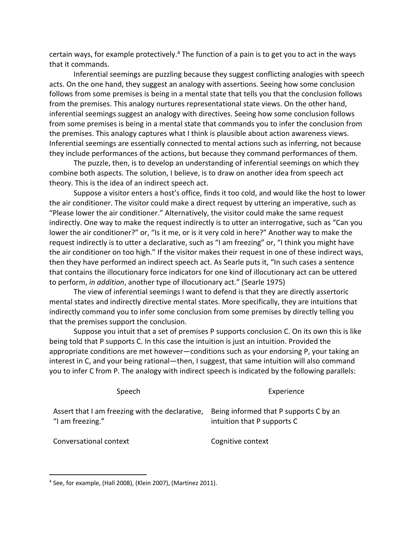certain ways, for example protectively.<sup>4</sup> The function of a pain is to get you to act in the ways that it commands.

Inferential seemings are puzzling because they suggest conflicting analogies with speech acts. On the one hand, they suggest an analogy with assertions. Seeing how some conclusion follows from some premises is being in a mental state that tells you that the conclusion follows from the premises. This analogy nurtures representational state views. On the other hand, inferential seemings suggest an analogy with directives. Seeing how some conclusion follows from some premises is being in a mental state that commands you to infer the conclusion from the premises. This analogy captures what I think is plausible about action awareness views. Inferential seemings are essentially connected to mental actions such as inferring, not because they include performances of the actions, but because they command performances of them.

The puzzle, then, is to develop an understanding of inferential seemings on which they combine both aspects. The solution, I believe, is to draw on another idea from speech act theory. This is the idea of an indirect speech act.

Suppose a visitor enters a host's office, finds it too cold, and would like the host to lower the air conditioner. The visitor could make a direct request by uttering an imperative, such as "Please lower the air conditioner." Alternatively, the visitor could make the same request indirectly. One way to make the request indirectly is to utter an interrogative, such as "Can you lower the air conditioner?" or, "Is it me, or is it very cold in here?" Another way to make the request indirectly is to utter a declarative, such as "I am freezing" or, "I think you might have the air conditioner on too high." If the visitor makes their request in one of these indirect ways, then they have performed an indirect speech act. As Searle puts it, "In such cases a sentence that contains the illocutionary force indicators for one kind of illocutionary act can be uttered to perform, *in addition*, another type of illocutionary act." (Searle 1975)

The view of inferential seemings I want to defend is that they are directly assertoric mental states and indirectly directive mental states. More specifically, they are intuitions that indirectly command you to infer some conclusion from some premises by directly telling you that the premises support the conclusion.

Suppose you intuit that a set of premises P supports conclusion C. On its own this is like being told that P supports C. In this case the intuition is just an intuition. Provided the appropriate conditions are met however—conditions such as your endorsing P, your taking an interest in C, and your being rational—then, I suggest, that same intuition will also command you to infer C from P. The analogy with indirect speech is indicated by the following parallels:

Speech **Experience** Assert that I am freezing with the declarative, Being informed that P supports C by an "I am freezing." intuition that P supports C

Conversational context Cognitive context

<sup>4</sup> See, for example, (Hall 2008), (Klein 2007), (Martinez 2011).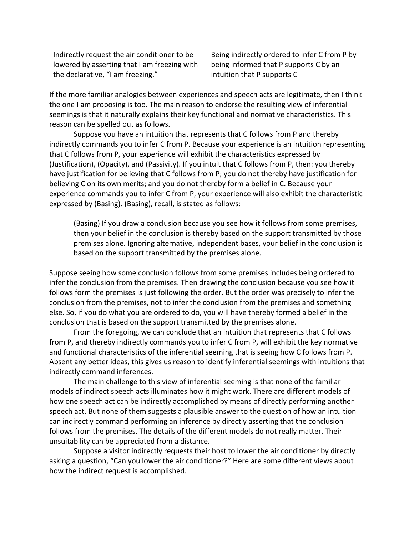Indirectly request the air conditioner to be lowered by asserting that I am freezing with the declarative, "I am freezing."

Being indirectly ordered to infer C from P by being informed that P supports C by an intuition that P supports C

If the more familiar analogies between experiences and speech acts are legitimate, then I think the one I am proposing is too. The main reason to endorse the resulting view of inferential seemings is that it naturally explains their key functional and normative characteristics. This reason can be spelled out as follows.

Suppose you have an intuition that represents that C follows from P and thereby indirectly commands you to infer C from P. Because your experience is an intuition representing that C follows from P, your experience will exhibit the characteristics expressed by (Justification), (Opacity), and (Passivity). If you intuit that C follows from P, then: you thereby have justification for believing that C follows from P; you do not thereby have justification for believing C on its own merits; and you do not thereby form a belief in C. Because your experience commands you to infer C from P, your experience will also exhibit the characteristic expressed by (Basing). (Basing), recall, is stated as follows:

(Basing) If you draw a conclusion because you see how it follows from some premises, then your belief in the conclusion is thereby based on the support transmitted by those premises alone. Ignoring alternative, independent bases, your belief in the conclusion is based on the support transmitted by the premises alone.

Suppose seeing how some conclusion follows from some premises includes being ordered to infer the conclusion from the premises. Then drawing the conclusion because you see how it follows form the premises is just following the order. But the order was precisely to infer the conclusion from the premises, not to infer the conclusion from the premises and something else. So, if you do what you are ordered to do, you will have thereby formed a belief in the conclusion that is based on the support transmitted by the premises alone.

From the foregoing, we can conclude that an intuition that represents that C follows from P, and thereby indirectly commands you to infer C from P, will exhibit the key normative and functional characteristics of the inferential seeming that is seeing how C follows from P. Absent any better ideas, this gives us reason to identify inferential seemings with intuitions that indirectly command inferences.

The main challenge to this view of inferential seeming is that none of the familiar models of indirect speech acts illuminates how it might work. There are different models of how one speech act can be indirectly accomplished by means of directly performing another speech act. But none of them suggests a plausible answer to the question of how an intuition can indirectly command performing an inference by directly asserting that the conclusion follows from the premises. The details of the different models do not really matter. Their unsuitability can be appreciated from a distance.

Suppose a visitor indirectly requests their host to lower the air conditioner by directly asking a question, "Can you lower the air conditioner?" Here are some different views about how the indirect request is accomplished.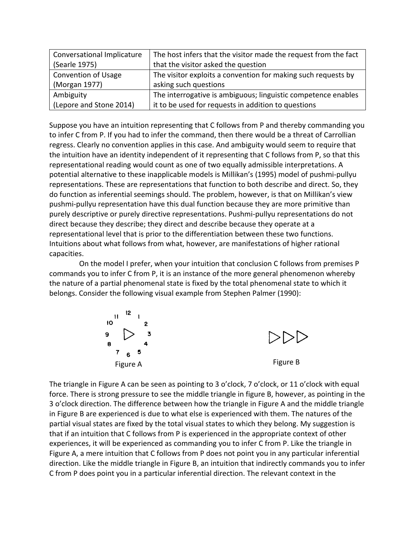| <b>Conversational Implicature</b> | The host infers that the visitor made the request from the fact |  |  |
|-----------------------------------|-----------------------------------------------------------------|--|--|
| (Searle 1975)                     | that the visitor asked the question                             |  |  |
| <b>Convention of Usage</b>        | The visitor exploits a convention for making such requests by   |  |  |
| (Morgan 1977)                     | asking such questions                                           |  |  |
| Ambiguity                         | The interrogative is ambiguous; linguistic competence enables   |  |  |
| (Lepore and Stone 2014)           | it to be used for requests in addition to questions             |  |  |

Suppose you have an intuition representing that C follows from P and thereby commanding you to infer C from P. If you had to infer the command, then there would be a threat of Carrollian regress. Clearly no convention applies in this case. And ambiguity would seem to require that the intuition have an identity independent of it representing that C follows from P, so that this representational reading would count as one of two equally admissible interpretations. A potential alternative to these inapplicable models is Millikan's (1995) model of pushmi-pullyu representations. These are representations that function to both describe and direct. So, they do function as inferential seemings should. The problem, however, is that on Millikan's view pushmi-pullyu representation have this dual function because they are more primitive than purely descriptive or purely directive representations. Pushmi-pullyu representations do not direct because they describe; they direct and describe because they operate at a representational level that is prior to the differentiation between these two functions. Intuitions about what follows from what, however, are manifestations of higher rational capacities. *Modern Theories of Gestalt Perception* **293** 

On the model I prefer, when your intuition that conclusion C follows from premises P commands you to infer C from P, it is an instance of the more general phenomenon whereby the nature of a partial phenomenal state is fixed by the total phenomenal state to which it<br>the nature of a partial phenomenal state is fixed by the total phenomenal state to which it<br>helenge Consider the following visual belongs. Consider the following visual example from Stephen Palmer (1990): *8* **4** 



The triangle in Figure A can be seen as pointing to 3 o'clock, 7 o'clock, or 11 o'clock with equal<br>force. There is strong pressure to see the middle triangle in figure B, however, as pointing in th force. There is strong pressure to see the middle triangle in figure B, however, as pointing in the **Solute See to the Solute See See See See** 3 o'clock direction. The difference between how the triangle in Figure A and th 3 o'clock direction. The difference between how the triangle in Figure A and the middle triangle in Figure B are experienced is due to what else is experienced with them. The natures of the partial visual states are fixed by the total visual states to which they belong. My suggestion is that if an intuition that C follows from P is experienced in the appropriate context of other *G*  experiences, it will be experienced as commanding you to infer C from P. Like the triangle in E Figure A, a mere intuition that C follows from P does not point you in any particular inferential direction. Like the middle triangle in Figure B, an intuition that indirectly commands you to infer C from P does point you in a particular inferential direction. The relevant context in the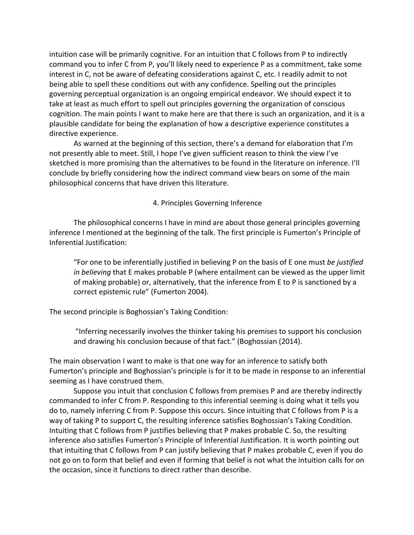intuition case will be primarily cognitive. For an intuition that C follows from P to indirectly command you to infer C from P, you'll likely need to experience P as a commitment, take some interest in C, not be aware of defeating considerations against C, etc. I readily admit to not being able to spell these conditions out with any confidence. Spelling out the principles governing perceptual organization is an ongoing empirical endeavor. We should expect it to take at least as much effort to spell out principles governing the organization of conscious cognition. The main points I want to make here are that there is such an organization, and it is a plausible candidate for being the explanation of how a descriptive experience constitutes a directive experience.

As warned at the beginning of this section, there's a demand for elaboration that I'm not presently able to meet. Still, I hope I've given sufficient reason to think the view I've sketched is more promising than the alternatives to be found in the literature on inference. I'll conclude by briefly considering how the indirect command view bears on some of the main philosophical concerns that have driven this literature.

### 4. Principles Governing Inference

The philosophical concerns I have in mind are about those general principles governing inference I mentioned at the beginning of the talk. The first principle is Fumerton's Principle of Inferential Justification:

"For one to be inferentially justified in believing P on the basis of E one must *be justified in believing* that E makes probable P (where entailment can be viewed as the upper limit of making probable) or, alternatively, that the inference from E to P is sanctioned by a correct epistemic rule" (Fumerton 2004).

The second principle is Boghossian's Taking Condition:

"Inferring necessarily involves the thinker taking his premises to support his conclusion and drawing his conclusion because of that fact." (Boghossian (2014).

The main observation I want to make is that one way for an inference to satisfy both Fumerton's principle and Boghossian's principle is for it to be made in response to an inferential seeming as I have construed them.

Suppose you intuit that conclusion C follows from premises P and are thereby indirectly commanded to infer C from P. Responding to this inferential seeming is doing what it tells you do to, namely inferring C from P. Suppose this occurs. Since intuiting that C follows from P is a way of taking P to support C, the resulting inference satisfies Boghossian's Taking Condition. Intuiting that C follows from P justifies believing that P makes probable C. So, the resulting inference also satisfies Fumerton's Principle of Inferential Justification. It is worth pointing out that intuiting that C follows from P can justify believing that P makes probable C, even if you do not go on to form that belief and even if forming that belief is not what the intuition calls for on the occasion, since it functions to direct rather than describe.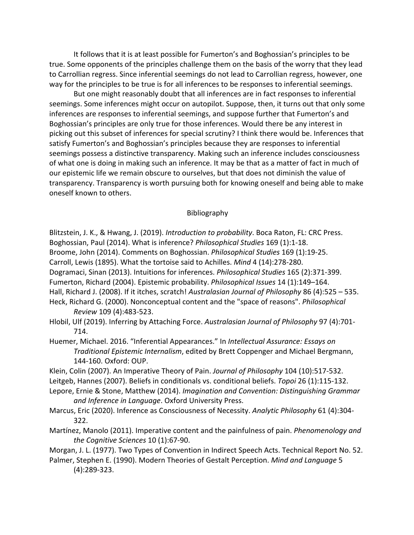It follows that it is at least possible for Fumerton's and Boghossian's principles to be true. Some opponents of the principles challenge them on the basis of the worry that they lead to Carrollian regress. Since inferential seemings do not lead to Carrollian regress, however, one way for the principles to be true is for all inferences to be responses to inferential seemings.

But one might reasonably doubt that all inferences are in fact responses to inferential seemings. Some inferences might occur on autopilot. Suppose, then, it turns out that only some inferences are responses to inferential seemings, and suppose further that Fumerton's and Boghossian's principles are only true for those inferences. Would there be any interest in picking out this subset of inferences for special scrutiny? I think there would be. Inferences that satisfy Fumerton's and Boghossian's principles because they are responses to inferential seemings possess a distinctive transparency. Making such an inference includes consciousness of what one is doing in making such an inference. It may be that as a matter of fact in much of our epistemic life we remain obscure to ourselves, but that does not diminish the value of transparency. Transparency is worth pursuing both for knowing oneself and being able to make oneself known to others.

#### Bibliography

Blitzstein, J. K., & Hwang, J. (2019). *Introduction to probability*. Boca Raton, FL: CRC Press. Boghossian, Paul (2014). What is inference? *Philosophical Studies* 169 (1):1-18. Broome, John (2014). Comments on Boghossian. *Philosophical Studies* 169 (1):19-25. Carroll, Lewis (1895). What the tortoise said to Achilles. *Mind* 4 (14):278-280. Dogramaci, Sinan (2013). Intuitions for inferences. *Philosophical Studies* 165 (2):371-399. Fumerton, Richard (2004). Epistemic probability. *Philosophical Issues* 14 (1):149–164. Hall, Richard J. (2008). If it itches, scratch! *Australasian Journal of Philosophy* 86 (4):525 – 535. Heck, Richard G. (2000). Nonconceptual content and the "space of reasons". *Philosophical Review* 109 (4):483-523.

Hlobil, Ulf (2019). Inferring by Attaching Force. *Australasian Journal of Philosophy* 97 (4):701- 714.

- Huemer, Michael. 2016. "Inferential Appearances." In *Intellectual Assurance: Essays on Traditional Epistemic Internalism*, edited by Brett Coppenger and Michael Bergmann, 144-160. Oxford: OUP.
- Klein, Colin (2007). An Imperative Theory of Pain. *Journal of Philosophy* 104 (10):517-532. Leitgeb, Hannes (2007). Beliefs in conditionals vs. conditional beliefs. *Topoi* 26 (1):115-132.
- Lepore, Ernie & Stone, Matthew (2014). *Imagination and Convention: Distinguishing Grammar and Inference in Language*. Oxford University Press.
- Marcus, Eric (2020). Inference as Consciousness of Necessity. *Analytic Philosophy* 61 (4):304- 322.
- Martínez, Manolo (2011). Imperative content and the painfulness of pain. *Phenomenology and the Cognitive Sciences* 10 (1):67-90.

Morgan, J. L. (1977). Two Types of Convention in Indirect Speech Acts. Technical Report No. 52.

Palmer, Stephen E. (1990). Modern Theories of Gestalt Perception. *Mind and Language* 5 (4):289-323.